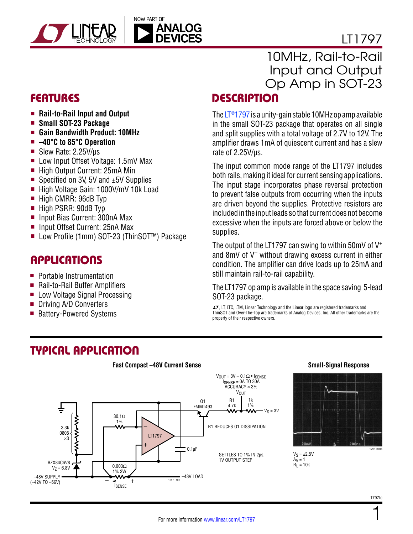

# LT1797

- Rail-to-Rail Input and Output
- **n** Small SOT-23 Package
- <sup>n</sup> **Gain Bandwidth Product: 10MHz**
- <sup>n</sup> **–40°C to 85°C Operation**
- Slew Rate:  $2.25V/\mu s$
- Low Input Offset Voltage: 1.5mV Max
- High Output Current: 25mA Min
- Specified on 3V, 5V and  $±5V$  Supplies
- High Voltage Gain: 1000V/mV 10k Load
- $\blacksquare$  High CMRR: 96dB Typ
- High PSRR: 90dB Typ
- Input Bias Current: 300nA Max
- Input Offset Current: 25nA Max
- Low Profile (1mm) SOT-23 (ThinSOT<sup>™</sup>) Package

### **APPLICATIONS**

- $\blacksquare$  Portable Instrumentation
- Rail-to-Rail Buffer Amplifiers
- Low Voltage Signal Processing
- Driving A/D Converters
- Battery-Powered Systems

# 10MHz, Rail-to-Rail Input and Output Op Amp in SOT-23

## FEATURES DESCRIPTION

The  $LT@1797$  is a unity-gain stable 10MHz op amp available in the small SOT-23 package that operates on all single and split supplies with a total voltage of 2.7V to 12V. The amplifier draws 1mA of quiescent current and has a slew rate of 2.25V/µs.

The input common mode range of the LT1797 includes both rails, making it ideal for current sensing applications. The input stage incorporates phase reversal protection to prevent false outputs from occurring when the inputs are driven beyond the supplies. Protective resistors are included in the input leads so that current does not become excessive when the inputs are forced above or below the supplies.

The output of the LT1797 can swing to within 50mV of  $V^+$ and 8mV of V– without drawing excess current in either condition. The amplifier can drive loads up to 25mA and still maintain rail-to-rail capability.

The LT1797 op amp is available in the space saving 5-lead SOT-23 package.

 $\overline{\mathcal{A}}$ , LT, LTC, LTM, Linear Technology and the Linear logo are registered trademarks and ThinSOT and Over-The-Top are trademarks of Analog Devices, Inc. All other trademarks are the property of their respective owners.

> $Av = 1$  $R_1 = 10k$

### Typical Application



### **Small-Signal Response**



1797fc

1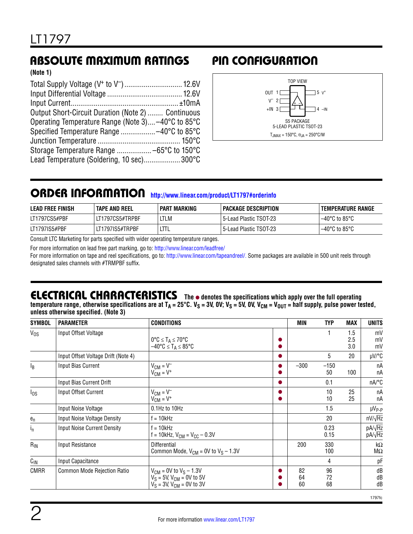## Absolute Maximum Ratings Pin Configuration

**(Note 1)**

| Output Short-Circuit Duration (Note 2)  Continuous |  |
|----------------------------------------------------|--|
| Operating Temperature Range (Note 3) -40°C to 85°C |  |
|                                                    |  |
|                                                    |  |
|                                                    |  |
| Lead Temperature (Soldering, 10 sec)300°C          |  |



### ORDER INFORMATION <http://www.linear.com/product/LT1797#orderinfo>

| <b>LEAD FREE FINISH</b> | TAPE AND REEL   | PART MARKING | PACKAGE DESCRIPTION     | I TEMPERATURE RANGE                |
|-------------------------|-----------------|--------------|-------------------------|------------------------------------|
| LT1797CS5#PBF           | LT1797CS5#TRPBF | LTLM         | 5-Lead Plastic TSOT-23! | $-40^{\circ}$ C to 85°C            |
| LT1797IS5#PBF           | LT1797IS5#TRPBF |              | 5-Lead Plastic TSOT-23! | $-40^{\circ}$ C to 85 $^{\circ}$ C |

Consult LTC Marketing for parts specified with wider operating temperature ranges.

For more information on lead free part marking, go to:<http://www.linear.com/leadfree/>

For more information on tape and reel specifications, go to: <http://www.linear.com/tapeandreel/>. Some packages are available in 500 unit reels through designated sales channels with #TRMPBF suffix.

### **ELECTRICAL CHARACTERISTICS** The  $\bullet$  denotes the specifications which apply over the full operating

temperature range, otherwise specifications are at T<sub>A</sub> = 25°C. V<sub>S</sub> = 3V, OV; V<sub>S</sub> = 5V, OV, V<sub>CM</sub> = V<sub>OUT</sub> = half supply, pulse power tested, **unless otherwise specified. (Note 3)**

| <b>SYMBOL</b>  | <b>PARAMETER</b>                    | <b>CONDITIONS</b>                                                                                     | <b>MIN</b>     | <b>TYP</b>     | <b>MAX</b>        | <b>UNITS</b>             |
|----------------|-------------------------------------|-------------------------------------------------------------------------------------------------------|----------------|----------------|-------------------|--------------------------|
| $V_{OS}$       | Input Offset Voltage                | $0^{\circ}C \leq T_A \leq 70^{\circ}C$<br>$-40^{\circ}$ C $\leq$ T <sub>A</sub> $\leq$ 85°C           |                |                | 1.5<br>2.5<br>3.0 | mV<br>mV<br>mV           |
|                | Input Offset Voltage Drift (Note 4) |                                                                                                       |                | 5              | 20                | µV/°C                    |
| Ιg             | Input Bias Current                  | $V_{CM} = V^-$<br>$V_{CM} = V^+$                                                                      | $-300$         | $-150$<br>50   | 100               | nA<br>nA                 |
|                | Input Bias Current Drift            |                                                                                                       |                | 0.1            |                   | nA/°C                    |
| $I_{OS}$       | Input Offset Current                | $V_{CM} = V^-$<br>$V_{CM} = V^+$                                                                      |                | 10<br>10       | 25<br>25          | nA<br>пA                 |
|                | Input Noise Voltage                 | 0.1Hz to 10Hz                                                                                         |                | 1.5            |                   | µV <sub>P-P</sub>        |
| $e_n$          | Input Noise Voltage Density         | f = 10kHz                                                                                             |                | 20             |                   | $nV/\sqrt{Hz}$           |
| I <sub>n</sub> | <b>Input Noise Current Density</b>  | $f = 10kHz$<br>$f = 10k$ Hz, $V_{CM} = V_{CC} - 0.3V$                                                 |                | 0.23<br>0.15   |                   | $pA/\sqrt{Hz}$<br>pA/√Hz |
| $R_{IN}$       | Input Resistance                    | <b>Differential</b><br>Common Mode, $V_{CM}$ = 0V to $V_S$ – 1.3V                                     | 200            | 330<br>100     |                   | $k\Omega$<br>$M\Omega$   |
| $C_{1N}$       | Input Capacitance                   |                                                                                                       |                | 4              |                   | pF                       |
| <b>CMRR</b>    | Common Mode Rejection Ratio         | $V_{CM}$ = 0V to $V_S$ – 1.3V<br>$V_S = 5V$ , $V_{CM} = 0V$ to 5V<br>$V_S = 3V$ , $V_{CM} = 0V$ to 3V | 82<br>64<br>60 | 96<br>72<br>68 |                   | dB<br>dB<br>dB           |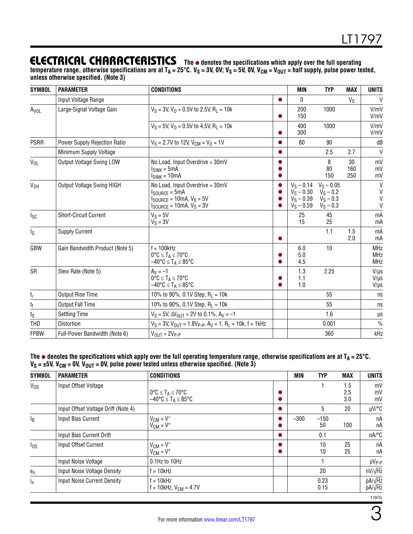### **ELECTRICAL CHARACTERISTICS** The  $\bullet$  denotes the specifications which apply over the full operating

temperature range, otherwise specifications are at T<sub>A</sub> = 25°C. V<sub>S</sub> = 3V, OV; V<sub>S</sub> = 5V, OV, V<sub>CM</sub> = V<sub>OUT</sub> = half supply, pulse power tested, **unless otherwise specified. (Note 3)**

| <b>SYMBOL</b>    | <b>PARAMETER</b>                 | <b>CONDITIONS</b>                                                                                                                                                                      | <b>MIN</b>                                                                     | <b>TYP</b>                                 | <b>MAX</b>       | <b>UNITS</b>                           |
|------------------|----------------------------------|----------------------------------------------------------------------------------------------------------------------------------------------------------------------------------------|--------------------------------------------------------------------------------|--------------------------------------------|------------------|----------------------------------------|
|                  | Input Voltage Range              |                                                                                                                                                                                        | 0                                                                              |                                            | $V_S$            | $\mathsf{V}$                           |
| Avol             | Large-Signal Voltage Gain        | $V_S = 3V$ , $V_O = 0.5V$ to 2.5V, $R_1 = 10k$                                                                                                                                         | 200<br>150                                                                     | 1000                                       |                  | V/mV<br>V/mV                           |
|                  |                                  | $V_S = 5V$ , $V_O = 0.5V$ to 4.5V, $R_I = 10k$                                                                                                                                         | 400<br>300                                                                     | 1000                                       |                  | V/mV<br>V/mV                           |
| <b>PSRR</b>      | Power Supply Rejection Ratio     | $V_S = 2.7V$ to 12V, $V_{CM} = V_0 = 1V$                                                                                                                                               | 80                                                                             | 90                                         |                  | dB                                     |
|                  | Minimum Supply Voltage           |                                                                                                                                                                                        |                                                                                | 2.5                                        | 2.7              | $\mathsf{V}$                           |
| $V_{OL}$         | <b>Output Voltage Swing LOW</b>  | No Load, Input Overdrive = 30mV<br>$I_{SINK} = 5mA$<br>$ISINK = 10mA$                                                                                                                  |                                                                                | 8<br>80<br>150                             | 30<br>160<br>250 | mV<br>mV<br>mV                         |
| V <sub>OH</sub>  | <b>Output Voltage Swing HIGH</b> | No Load, Input Overdrive = 30mV<br>$I_{\text{SOURCE}} = 5 \text{mA}$<br>$I_{\text{SOURCE}} = 10 \text{mA}, V_{\text{S}} = 5V$<br>$I_{\text{SOURCE}} = 10 \text{mA}, V_{\text{S}} = 3V$ | $V_S - 0.14$<br>$V_S - 0.30$<br>$V_{\rm S}$ – 0.39<br>$V_S - 0.59$ $V_S - 0.3$ | $V_S - 0.05$<br>$V_S - 0.2$<br>$V_S - 0.3$ |                  | V<br>V<br>V<br>V                       |
| $I_{SC}$         | <b>Short-Circuit Current</b>     | $V_S = 5V$<br>$V_S = 3V$                                                                                                                                                               | 25<br>15                                                                       | 45<br>25                                   |                  | mA<br>mA                               |
| ls.              | <b>Supply Current</b>            |                                                                                                                                                                                        |                                                                                | 1.1                                        | 1.5<br>2.0       | mA<br>mA                               |
| GBW              | Gain Bandwidth Product (Note 5)  | $f = 100kHz$<br>$0^{\circ}C \leq T_A \leq 70^{\circ}C$<br>$-40^{\circ}$ C $\leq$ T <sub>A</sub> $\leq$ 85°C                                                                            | 6.0<br>5.0<br>4.5                                                              | 10                                         |                  | <b>MHz</b><br><b>MHz</b><br><b>MHz</b> |
| <b>SR</b>        | Slew Rate (Note 5)               | $A_V = -1$<br>$0^{\circ}C \leq T_A \leq 70^{\circ}C$<br>$-40^{\circ}$ C $\leq$ T <sub>A</sub> $\leq$ 85°C                                                                              | 1.3<br>1.1<br>1.0                                                              | 2.25                                       |                  | $V/\mu s$<br>$V/\mu s$<br>$V/\mu s$    |
| $t_{\mathsf{r}}$ | Output Rise Time                 | 10% to 90%, 0.1V Step, $R_1 = 10k$                                                                                                                                                     |                                                                                | 55                                         |                  | ns                                     |
| t <sub>f</sub>   | <b>Output Fall Time</b>          | 10% to 90%, 0.1V Step, $R_L = 10k$                                                                                                                                                     |                                                                                | 55                                         |                  | ns                                     |
| ts               | <b>Settling Time</b>             | $V_S = 5V$ , $\Delta V_{OUT} = 2V$ to 0.1%, $A_V = -1$                                                                                                                                 |                                                                                | 1.6                                        |                  | $\mu\text{s}$                          |
| THD              | Distortion                       | $V_S = 3V$ , $V_{OUT} = 1.8V_{P-P}$ , $A_V = 1$ , $R_L = 10k$ , $f = 1kHz$                                                                                                             |                                                                                | 0.001                                      |                  | $\%$                                   |
| <b>FPBW</b>      | Full-Power Bandwidth (Note 6)    | $V_{\text{OUT}} = 2V_{\text{P-P}}$                                                                                                                                                     |                                                                                | 360                                        |                  | kHz                                    |

**The** l **denotes the specifications which apply over the full operating temperature range, otherwise specifications are at TA = 25°C. VS = ±5V, VCM = 0V, VOUT = 0V, pulse power tested unless otherwise specified. (Note 3)**

| <b>SYMBOL</b> | <b>PARAMETER</b>                    | <b>CONDITIONS</b>                                                                      | MIN    | <b>TYP</b>   | <b>MAX</b>        | <b>UNITS</b>     |
|---------------|-------------------------------------|----------------------------------------------------------------------------------------|--------|--------------|-------------------|------------------|
| $V_{OS}$      | Input Offset Voltage                | $0^{\circ}C \leq T_A \leq 70^{\circ}C$<br>$-40^{\circ}$ C $\leq T_A \leq 85^{\circ}$ C |        |              | 1.5<br>2.5<br>3.0 | mV<br>mV<br>mV   |
|               | Input Offset Voltage Drift (Note 4) |                                                                                        |        | 5            | 20                | $\mu$ V/°C       |
| $I_B$         | Input Bias Current                  | $V_{CM} = V^-$<br>$V_{CM} = V^+$                                                       | $-300$ | $-150$<br>50 | 100               | nA<br>nA         |
|               | Input Bias Current Drift            |                                                                                        |        | 0.1          |                   | nA/°C            |
| $I_{0S}$      | Input Offset Current                | $V_{CM} = V^-$<br>$V_{CM} = V^+$                                                       |        | 10<br>10     | 25<br>25          | nA<br>пA         |
|               | Input Noise Voltage                 | $0.1$ Hz to $10$ Hz                                                                    |        |              |                   | $\mu V_{P-P}$    |
| $e_n$         | Input Noise Voltage Density         | $f = 10kHz$                                                                            |        | 20           |                   | $nV/\sqrt{Hz}$   |
| $I_{n}$       | <b>Input Noise Current Density</b>  | f = 10kHz<br>$f = 10k$ Hz, $V_{CM} = 4.7V$                                             |        | 0.23<br>0.15 |                   | pA/√Hz<br>pA/√Hz |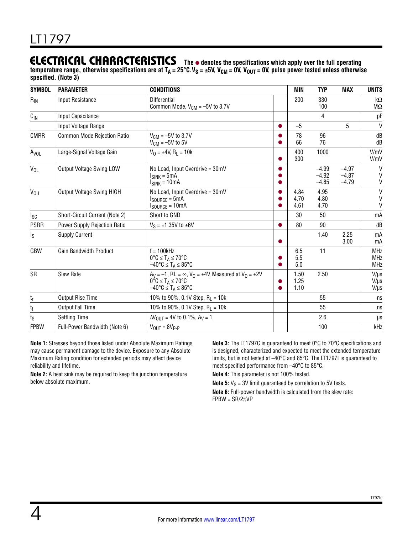### **ELECTRICAL CHARACTERISTICS** The  $\bullet$  denotes the specifications which apply over the full operating

temperature range, otherwise specifications are at T<sub>A</sub> = 25°C.V<sub>S</sub> = ±5V, V<sub>CM</sub> = 0V, V<sub>OUT</sub> = 0V, pulse power tested unless otherwise **specified. (Note 3)**

| <b>SYMBOL</b>                | <b>PARAMETER</b>                   | <b>CONDITIONS</b>                                                                                                                                                         | <b>MIN</b>           | <b>TYP</b>                    | <b>MAX</b>                    | <b>UNITS</b>                           |
|------------------------------|------------------------------------|---------------------------------------------------------------------------------------------------------------------------------------------------------------------------|----------------------|-------------------------------|-------------------------------|----------------------------------------|
| $R_{IN}$                     | <b>Input Resistance</b>            | Differential<br>Common Mode, $V_{CM} = -5V$ to 3.7V                                                                                                                       | 200                  | 330<br>100                    |                               | k $\Omega$<br>$M\Omega$                |
| $C_{IN}$                     | Input Capacitance                  |                                                                                                                                                                           |                      | 4                             |                               | pF                                     |
|                              | Input Voltage Range                |                                                                                                                                                                           | $-5$                 |                               | 5                             | V                                      |
| <b>CMRR</b>                  | <b>Common Mode Rejection Ratio</b> | $V_{CM} = -5V$ to 3.7V<br>$V_{CM} = -5V$ to 5V                                                                                                                            | 78<br>66             | 96<br>76                      |                               | dB<br>dB                               |
| A <sub>VOL</sub>             | Large-Signal Voltage Gain          | $V_0 = \pm 4V$ , R <sub>1</sub> = 10k                                                                                                                                     | 400<br>300           | 1000                          |                               | V/mV<br>V/mV                           |
| $V_{OL}$                     | <b>Output Voltage Swing LOW</b>    | No Load, Input Overdrive = 30mV<br>$ISINK = 5mA$<br>$I_{SINK} = 10mA$                                                                                                     |                      | $-4.99$<br>$-4.92$<br>$-4.85$ | $-4.97$<br>$-4.87$<br>$-4.79$ | $\mathsf{V}$<br>V<br>V                 |
| V <sub>OH</sub>              | <b>Output Voltage Swing HIGH</b>   | No Load, Input Overdrive = 30mV<br>$I_{\text{SOURCE}} = 5 \text{mA}$<br>$I_{\text{SOURCE}} = 10 \text{mA}$                                                                | 4.84<br>4.70<br>4.61 | 4.95<br>4.80<br>4.70          |                               | $\mathsf{V}$<br>$\mathsf{V}$<br>V      |
| $I_{SC}$                     | Short-Circuit Current (Note 2)     | Short to GND                                                                                                                                                              | 30                   | 50                            |                               | mA                                     |
| <b>PSRR</b>                  | Power Supply Rejection Ratio       | $V_S = \pm 1.35V$ to $\pm 6V$                                                                                                                                             | 80                   | 90                            |                               | dB                                     |
| Ιs                           | <b>Supply Current</b>              |                                                                                                                                                                           |                      | 1.40                          | 2.25<br>3.00                  | mA<br>mA                               |
| GBW                          | Gain Bandwidth Product             | $f = 100$ kHz<br>$0^{\circ}C \leq T_A \leq 70^{\circ}C$<br>$-40^{\circ}$ C $\leq$ T <sub>A</sub> $\leq$ 85°C                                                              | 6.5<br>5.5<br>5.0    | 11                            |                               | <b>MHz</b><br><b>MHz</b><br><b>MHz</b> |
| SR                           | <b>Slew Rate</b>                   | $A_V = -1$ , RL = $\infty$ , V <sub>0</sub> = ±4V, Measured at V <sub>0</sub> = ±2V<br>$0^{\circ}C \leq T_A \leq 70^{\circ}C$<br>$-40^{\circ}C \leq T_A \leq 85^{\circ}C$ | 1.50<br>1.25<br>1.10 | 2.50                          |                               | $V/\mu s$<br>$V/\mu s$<br>$V/\mu s$    |
| t <sub>r</sub>               | <b>Output Rise Time</b>            | 10% to 90%, 0.1V Step, $R_L = 10k$                                                                                                                                        |                      | 55                            |                               | ns                                     |
| t <sub>f</sub>               | <b>Output Fall Time</b>            | 10% to 90%, 0.1V Step, $R_1 = 10k$                                                                                                                                        |                      | 55                            |                               | ns                                     |
| $t_{\scriptstyle\textrm{S}}$ | <b>Settling Time</b>               | $\Delta V_{\text{OUT}} = 4V$ to 0.1%, $A_V = 1$                                                                                                                           |                      | 2.6                           |                               | μs                                     |
| <b>FPBW</b>                  | Full-Power Bandwidth (Note 6)      | $V_{OUT} = 8V_{P-P}$                                                                                                                                                      |                      | 100                           |                               | kHz                                    |

**Note 1:** Stresses beyond those listed under Absolute Maximum Ratings may cause permanent damage to the device. Exposure to any Absolute Maximum Rating condition for extended periods may affect device reliability and lifetime.

**Note 2:** A heat sink may be required to keep the junction temperature below absolute maximum.

**Note 3:** The LT1797C is guaranteed to meet 0°C to 70°C specifications and is designed, characterized and expected to meet the extended temperature limits, but is not tested at –40°C and 85°C. The LT1797I is guaranteed to meet specified performance from –40°C to 85°C.

**Note 4:** This parameter is not 100% tested.

**Note 5:**  $V_S = 3V$  limit guaranteed by correlation to 5V tests.

**Note 6:** Full-power bandwidth is calculated from the slew rate:  $FPBW = SR/2\pi VP$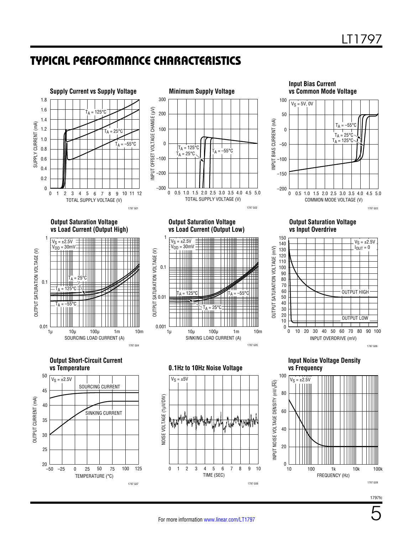### Typical Performance Characteristics







**Output Saturation Voltage vs Input Overdrive**

**Output Saturation Voltage vs Load Current (Output High)**



**Output Short-Circuit Current**







**vs Temperature 0.1Hz to 10Hz Noise Voltage**



**Input Noise Voltage Density**

INPUT OVERDRIVE (mV)

10 20 40 60 70 80 90

30 40 50 60 70 80 90 100

OUTPUT HIGH

OUTPUT LOW

1797 G06

 $V_S = \pm 2.5V$  $I_{\text{OUT}} = 0$ 

**vs Frequency**

0

40 20 0

50 30 10

OUTPUT SATURATION VOLTAGE (mV) 60 80 100 120 140

OUTPUT SATURATION VOLTAGE (mV)



1797fc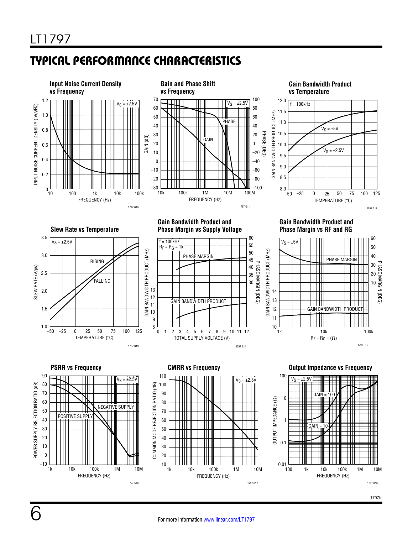# Typical Performance Characteristics

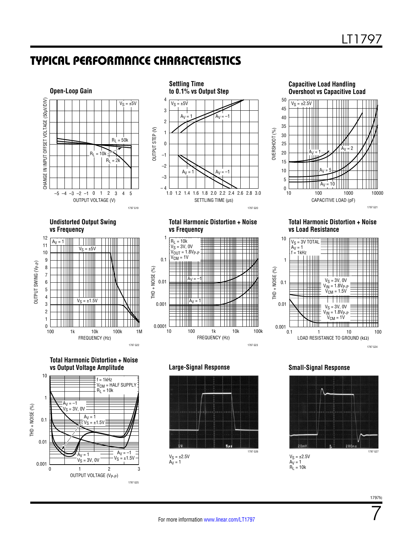### Typical Performance Characteristics







#### **Undistorted Output Swing vs Frequency**







#### **Total Harmonic Distortion + Noise vs Frequency**



### **Total Harmonic Distortion + Noise vs Load Resistance**







 $A_V = 1$  $R_L = 10k$ 

7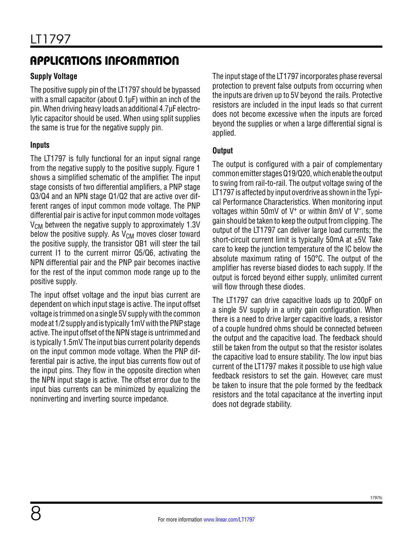# Applications Information

### **Supply Voltage**

The positive supply pin of the LT1797 should be bypassed with a small capacitor (about 0.1µF) within an inch of the pin. When driving heavy loads an additional 4.7µF electrolytic capacitor should be used. When using split supplies the same is true for the negative supply pin.

### **Inputs**

The LT1797 is fully functional for an input signal range from the negative supply to the positive supply. Figure 1 shows a simplified schematic of the amplifier. The input stage consists of two differential amplifiers, a PNP stage Q3/Q4 and an NPN stage Q1/Q2 that are active over different ranges of input common mode voltage. The PNP differential pair is active for input common mode voltages  $V_{CM}$  between the negative supply to approximately 1.3V below the positive supply. As  $V_{CM}$  moves closer toward the positive supply, the transistor QB1 will steer the tail current I1 to the current mirror Q5/Q6, activating the NPN differential pair and the PNP pair becomes inactive for the rest of the input common mode range up to the positive supply.

The input offset voltage and the input bias current are dependent on which input stage is active. The input offset voltage is trimmed on a single 5V supply with the common mode at 1/2 supply and is typically 1mV with the PNP stage active. The input offset of the NPN stage is untrimmed and is typically 1.5mV. The input bias current polarity depends on the input common mode voltage. When the PNP differential pair is active, the input bias currents flow out of the input pins. They flow in the opposite direction when the NPN input stage is active. The offset error due to the input bias currents can be minimized by equalizing the noninverting and inverting source impedance.

The input stage of the LT1797 incorporates phase reversal protection to prevent false outputs from occurring when the inputs are driven up to 5V beyond the rails. Protective resistors are included in the input leads so that current does not become excessive when the inputs are forced beyond the supplies or when a large differential signal is applied.

### **Output**

The output is configured with a pair of complementary common emitter stages Q19/Q20, which enable the output to swing from rail-to-rail. The output voltage swing of the LT1797 is affected by input overdrive as shown in the Typical Performance Characteristics. When monitoring input voltages within 50mV of  $V^+$  or within 8mV of  $V^-$ , some gain should be taken to keep the output from clipping. The output of the LT1797 can deliver large load currents; the short-circuit current limit is typically 50mA at  $\pm$ 5V. Take care to keep the junction temperature of the IC below the absolute maximum rating of 150°C. The output of the amplifier has reverse biased diodes to each supply. If the output is forced beyond either supply, unlimited current will flow through these diodes.

The LT1797 can drive capacitive loads up to 200pF on a single 5V supply in a unity gain configuration. When there is a need to drive larger capacitive loads, a resistor of a couple hundred ohms should be connected between the output and the capacitive load. The feedback should still be taken from the output so that the resistor isolates the capacitive load to ensure stability. The low input bias current of the LT1797 makes it possible to use high value feedback resistors to set the gain. However, care must be taken to insure that the pole formed by the feedback resistors and the total capacitance at the inverting input does not degrade stability.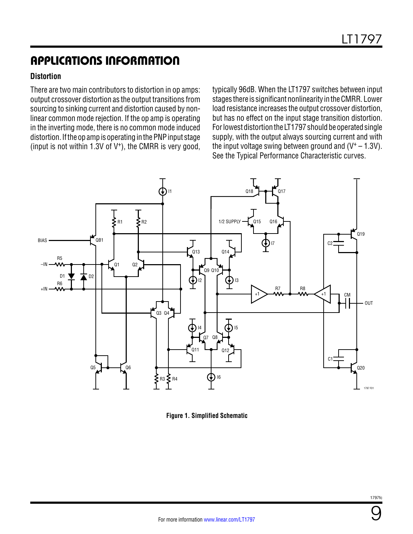## Applications Information

### **Distortion**

There are two main contributors to distortion in op amps: output crossover distortion as the output transitions from sourcing to sinking current and distortion caused by nonlinear common mode rejection. If the op amp is operating in the inverting mode, there is no common mode induced distortion. If the op amp is operating in the PNP input stage (input is not within 1.3V of V+), the CMRR is very good,

typically 96dB. When the LT1797 switches between input stages there is significant nonlinearity in the CMRR. Lower load resistance increases the output crossover distortion, but has no effect on the input stage transition distortion. For lowest distortion the LT1797 should be operated single supply, with the output always sourcing current and with the input voltage swing between ground and  $(V^+ - 1.3V)$ . See the Typical Performance Characteristic curves.



**Figure 1. Simplified Schematic**

9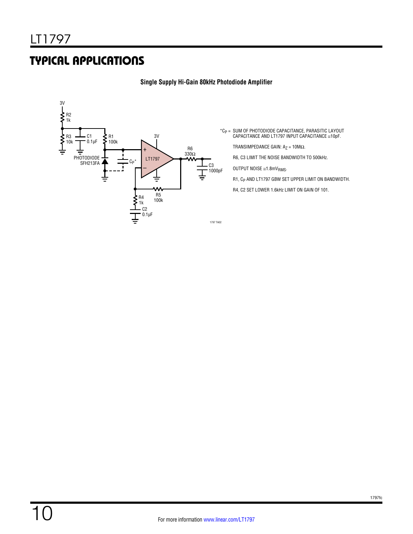### Typical Applications



### **Single Supply Hi-Gain 80kHz Photodiode Amplifier**

\*CP = SUM OF PHOTODIODE CAPACITANCE, PARASITIC LAYOUT CAPACITANCE AND LT1797 INPUT CAPACITANCE ≅10pF.

TRANSIMPEDANCE GAIN:  $A_Z = 10 M\Omega$ .

R6, C3 LIMIT THE NOISE BANDWIDTH TO 500kHz.

OUTPUT NOISE  $\cong$ 1.8mV<sub>RMS</sub>.

R1, C<sub>P</sub> AND LT1797 GBW SET UPPER LIMIT ON BANDWIDTH.

R4, C2 SET LOWER 1.6kHz LIMIT ON GAIN OF 101.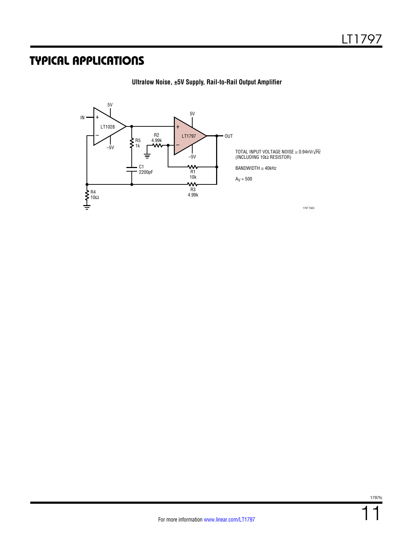## Typical Applications



**Ultralow Noise, ±5V Supply, Rail-to-Rail Output Amplifier**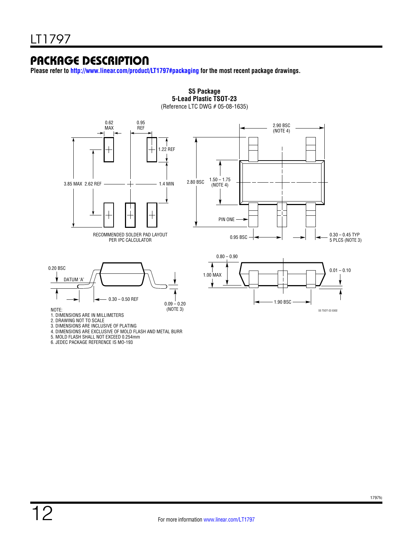### Package Description

**Please refer to http://www.linear.com/product/LT1797#packaging for the most recent package drawings.**

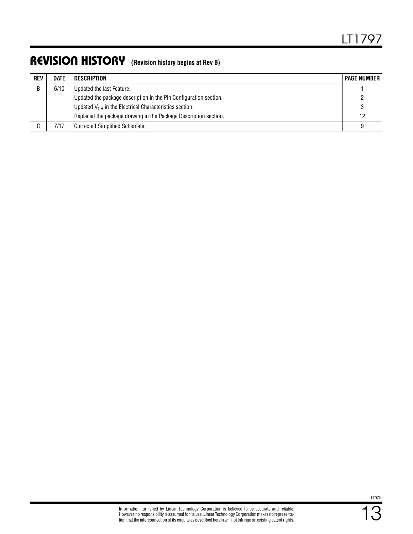### Revision History **(Revision history begins at Rev B)**

| <b>REV</b> | <b>DATE</b> | DESCRIPTION                                                       | <b>PAGE NUMBER</b> |
|------------|-------------|-------------------------------------------------------------------|--------------------|
| B          | 6/10        | Updated the last Feature.                                         |                    |
|            |             | Updated the package description in the Pin Configuration section. |                    |
|            |             | Updated $V_{OH}$ in the Electrical Characteristics section.       |                    |
|            |             | Replaced the package drawing in the Package Description section.  | 12                 |
|            | 7/17        | l Corrected Simplified Schematic                                  |                    |